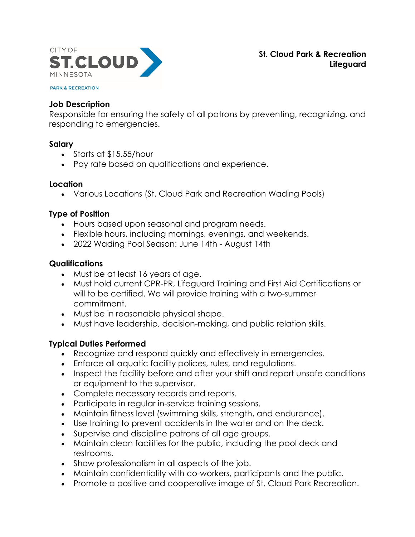

**St. Cloud Park & Recreation Lifeguard**

## **Job Description**

Responsible for ensuring the safety of all patrons by preventing, recognizing, and responding to emergencies.

#### **Salary**

- Starts at \$15.55/hour
- Pay rate based on qualifications and experience.

#### **Location**

• Various Locations (St. Cloud Park and Recreation Wading Pools)

## **Type of Position**

- Hours based upon seasonal and program needs.
- Flexible hours, including mornings, evenings, and weekends.
- 2022 Wading Pool Season: June 14th August 14th

## **Qualifications**

- Must be at least 16 years of age.
- Must hold current CPR-PR, Lifeguard Training and First Aid Certifications or will to be certified. We will provide training with a two-summer commitment.
- Must be in reasonable physical shape.
- Must have leadership, decision-making, and public relation skills.

## **Typical Duties Performed**

- Recognize and respond quickly and effectively in emergencies.
- Enforce all aquatic facility polices, rules, and regulations.
- Inspect the facility before and after your shift and report unsafe conditions or equipment to the supervisor.
- Complete necessary records and reports.
- Participate in regular in-service training sessions.
- Maintain fitness level (swimming skills, strength, and endurance).
- Use training to prevent accidents in the water and on the deck.
- Supervise and discipline patrons of all age groups.
- Maintain clean facilities for the public, including the pool deck and restrooms.
- Show professionalism in all aspects of the job.
- Maintain confidentiality with co-workers, participants and the public.
- Promote a positive and cooperative image of St. Cloud Park Recreation.